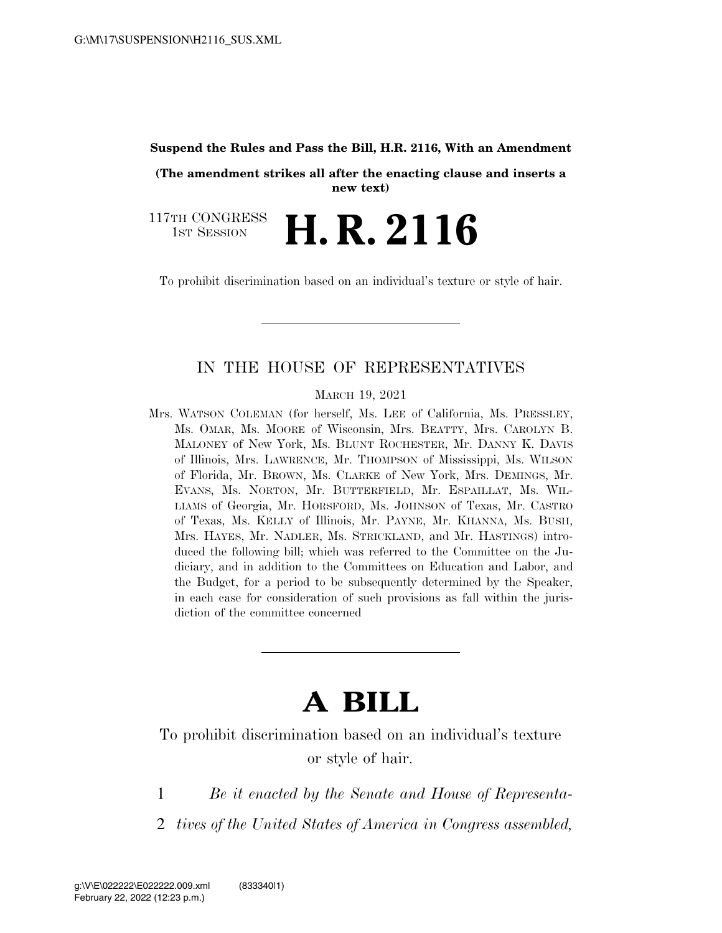#### **Suspend the Rules and Pass the Bill, H.R. 2116, With an Amendment**

**(The amendment strikes all after the enacting clause and inserts a new text)** 

117TH CONGRESS TH CONGRESS **H. R. 2116** 

To prohibit discrimination based on an individual's texture or style of hair.

#### IN THE HOUSE OF REPRESENTATIVES

MARCH 19, 2021

Mrs. WATSON COLEMAN (for herself, Ms. LEE of California, Ms. PRESSLEY, Ms. OMAR, Ms. MOORE of Wisconsin, Mrs. BEATTY, Mrs. CAROLYN B. MALONEY of New York, Ms. BLUNT ROCHESTER, Mr. DANNY K. DAVIS of Illinois, Mrs. LAWRENCE, Mr. THOMPSON of Mississippi, Ms. WILSON of Florida, Mr. BROWN, Ms. CLARKE of New York, Mrs. DEMINGS, Mr. EVANS, Ms. NORTON, Mr. BUTTERFIELD, Mr. ESPAILLAT, Ms. WIL-LIAMS of Georgia, Mr. HORSFORD, Ms. JOHNSON of Texas, Mr. CASTRO of Texas, Ms. KELLY of Illinois, Mr. PAYNE, Mr. KHANNA, Ms. BUSH, Mrs. HAYES, Mr. NADLER, Ms. STRICKLAND, and Mr. HASTINGS) introduced the following bill; which was referred to the Committee on the Judiciary, and in addition to the Committees on Education and Labor, and the Budget, for a period to be subsequently determined by the Speaker, in each case for consideration of such provisions as fall within the jurisdiction of the committee concerned

# **A BILL**

To prohibit discrimination based on an individual's texture or style of hair.

1 *Be it enacted by the Senate and House of Representa-*

2 *tives of the United States of America in Congress assembled,*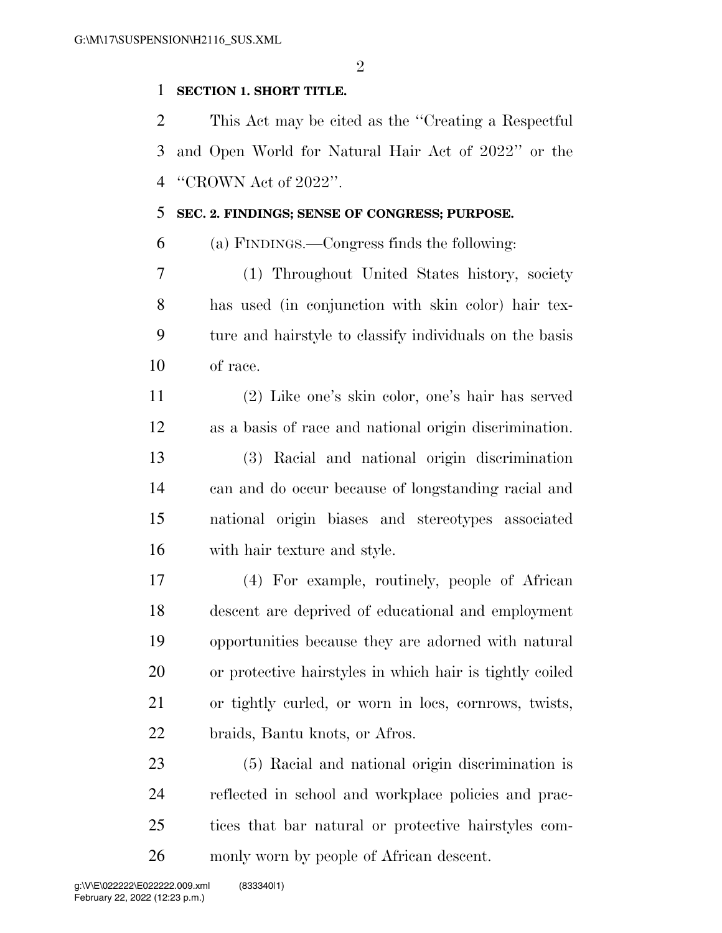$\mathfrak{D}$ 

# **SECTION 1. SHORT TITLE.**

 This Act may be cited as the ''Creating a Respectful and Open World for Natural Hair Act of 2022'' or the ''CROWN Act of 2022''.

# **SEC. 2. FINDINGS; SENSE OF CONGRESS; PURPOSE.**

(a) FINDINGS.—Congress finds the following:

 (1) Throughout United States history, society has used (in conjunction with skin color) hair tex- ture and hairstyle to classify individuals on the basis of race.

 (2) Like one's skin color, one's hair has served as a basis of race and national origin discrimination. (3) Racial and national origin discrimination

 can and do occur because of longstanding racial and national origin biases and stereotypes associated with hair texture and style.

 (4) For example, routinely, people of African descent are deprived of educational and employment opportunities because they are adorned with natural or protective hairstyles in which hair is tightly coiled or tightly curled, or worn in locs, cornrows, twists, braids, Bantu knots, or Afros.

 (5) Racial and national origin discrimination is reflected in school and workplace policies and prac- tices that bar natural or protective hairstyles com-monly worn by people of African descent.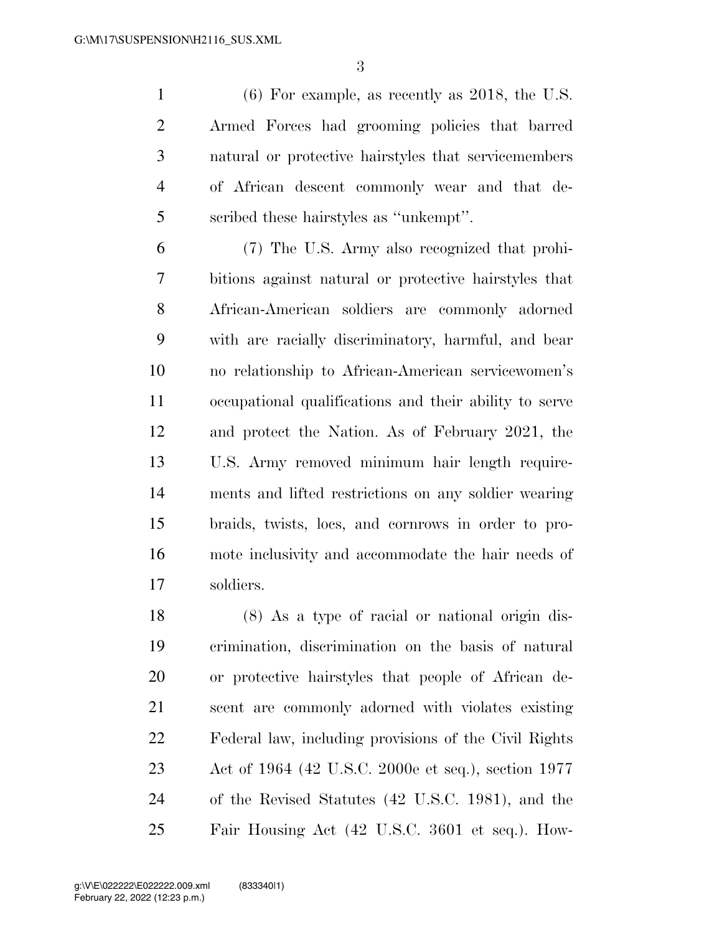(6) For example, as recently as 2018, the U.S. Armed Forces had grooming policies that barred natural or protective hairstyles that servicemembers of African descent commonly wear and that de-scribed these hairstyles as ''unkempt''.

 (7) The U.S. Army also recognized that prohi- bitions against natural or protective hairstyles that African-American soldiers are commonly adorned with are racially discriminatory, harmful, and bear no relationship to African-American servicewomen's occupational qualifications and their ability to serve and protect the Nation. As of February 2021, the U.S. Army removed minimum hair length require- ments and lifted restrictions on any soldier wearing braids, twists, locs, and cornrows in order to pro- mote inclusivity and accommodate the hair needs of soldiers.

 (8) As a type of racial or national origin dis- crimination, discrimination on the basis of natural or protective hairstyles that people of African de- scent are commonly adorned with violates existing Federal law, including provisions of the Civil Rights Act of 1964 (42 U.S.C. 2000e et seq.), section 1977 of the Revised Statutes (42 U.S.C. 1981), and the Fair Housing Act (42 U.S.C. 3601 et seq.). How-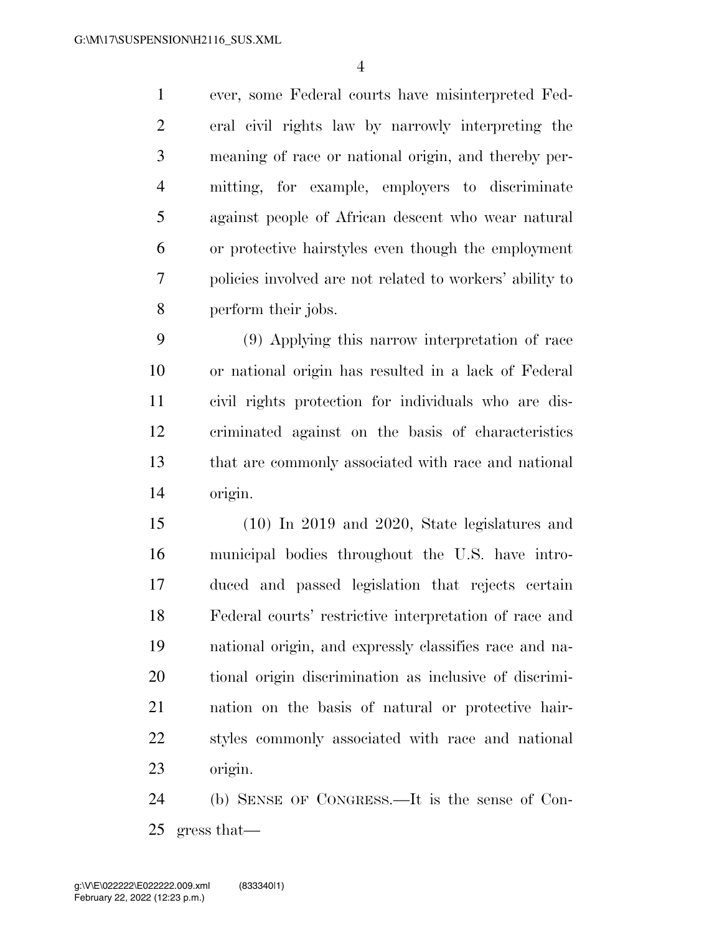ever, some Federal courts have misinterpreted Fed- eral civil rights law by narrowly interpreting the meaning of race or national origin, and thereby per- mitting, for example, employers to discriminate against people of African descent who wear natural or protective hairstyles even though the employment policies involved are not related to workers' ability to perform their jobs.

 (9) Applying this narrow interpretation of race or national origin has resulted in a lack of Federal civil rights protection for individuals who are dis- criminated against on the basis of characteristics that are commonly associated with race and national origin.

 (10) In 2019 and 2020, State legislatures and municipal bodies throughout the U.S. have intro- duced and passed legislation that rejects certain Federal courts' restrictive interpretation of race and national origin, and expressly classifies race and na- tional origin discrimination as inclusive of discrimi- nation on the basis of natural or protective hair- styles commonly associated with race and national origin.

 (b) SENSE OF CONGRESS.—It is the sense of Con-gress that—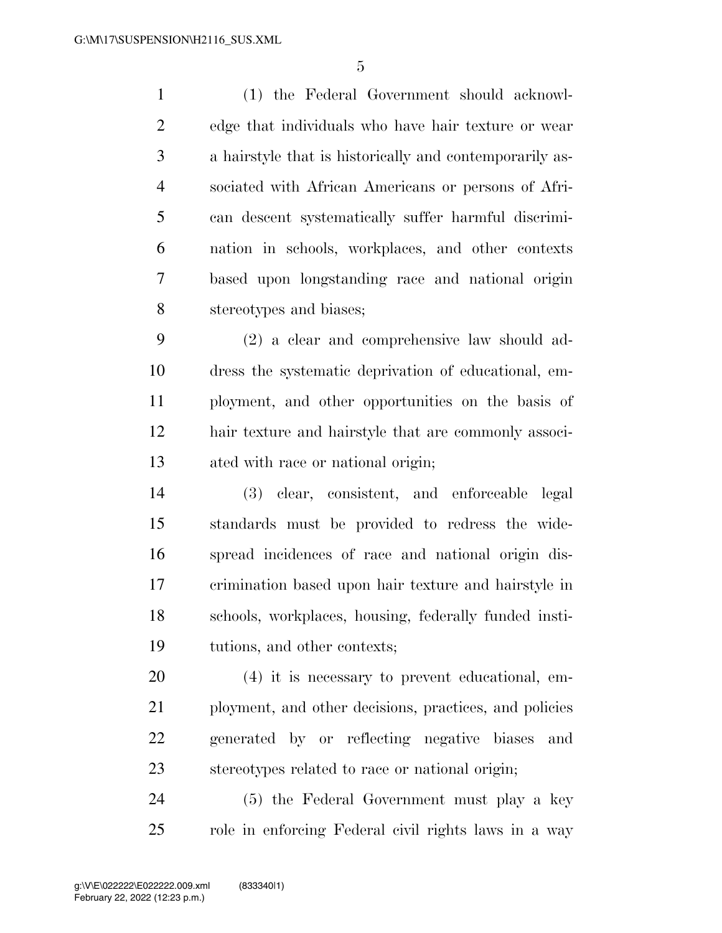(1) the Federal Government should acknowl- edge that individuals who have hair texture or wear a hairstyle that is historically and contemporarily as- sociated with African Americans or persons of Afri- can descent systematically suffer harmful discrimi- nation in schools, workplaces, and other contexts based upon longstanding race and national origin stereotypes and biases;

 (2) a clear and comprehensive law should ad- dress the systematic deprivation of educational, em- ployment, and other opportunities on the basis of hair texture and hairstyle that are commonly associ-ated with race or national origin;

 (3) clear, consistent, and enforceable legal standards must be provided to redress the wide- spread incidences of race and national origin dis- crimination based upon hair texture and hairstyle in schools, workplaces, housing, federally funded insti-tutions, and other contexts;

 (4) it is necessary to prevent educational, em-21 ployment, and other decisions, practices, and policies generated by or reflecting negative biases and stereotypes related to race or national origin;

 (5) the Federal Government must play a key role in enforcing Federal civil rights laws in a way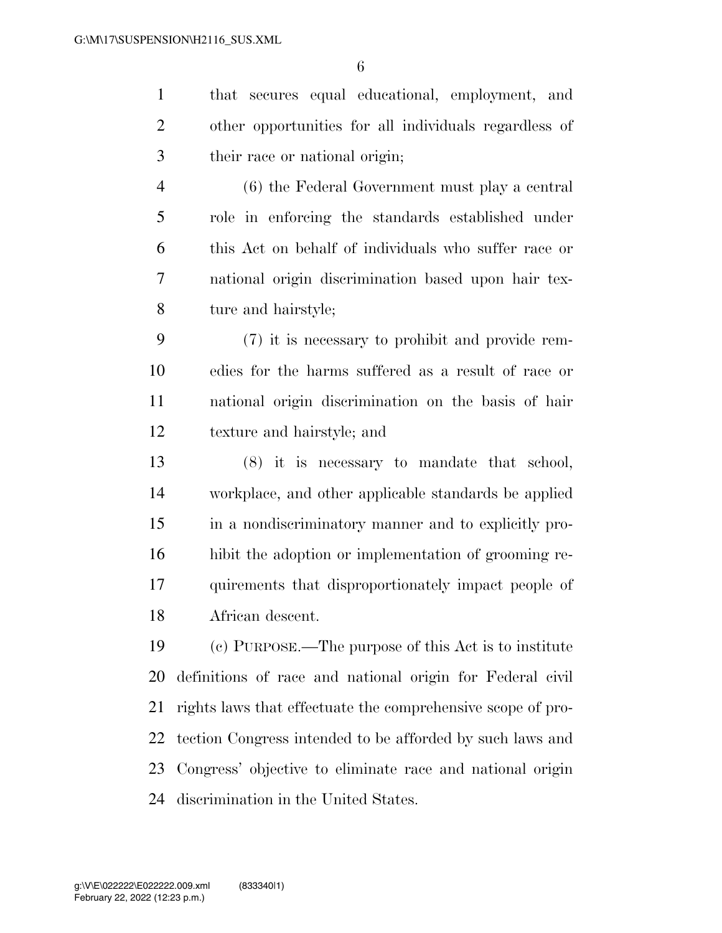that secures equal educational, employment, and other opportunities for all individuals regardless of their race or national origin;

 (6) the Federal Government must play a central role in enforcing the standards established under this Act on behalf of individuals who suffer race or national origin discrimination based upon hair tex-ture and hairstyle;

 (7) it is necessary to prohibit and provide rem- edies for the harms suffered as a result of race or national origin discrimination on the basis of hair texture and hairstyle; and

 (8) it is necessary to mandate that school, workplace, and other applicable standards be applied in a nondiscriminatory manner and to explicitly pro- hibit the adoption or implementation of grooming re- quirements that disproportionately impact people of African descent.

 (c) PURPOSE.—The purpose of this Act is to institute definitions of race and national origin for Federal civil rights laws that effectuate the comprehensive scope of pro- tection Congress intended to be afforded by such laws and Congress' objective to eliminate race and national origin discrimination in the United States.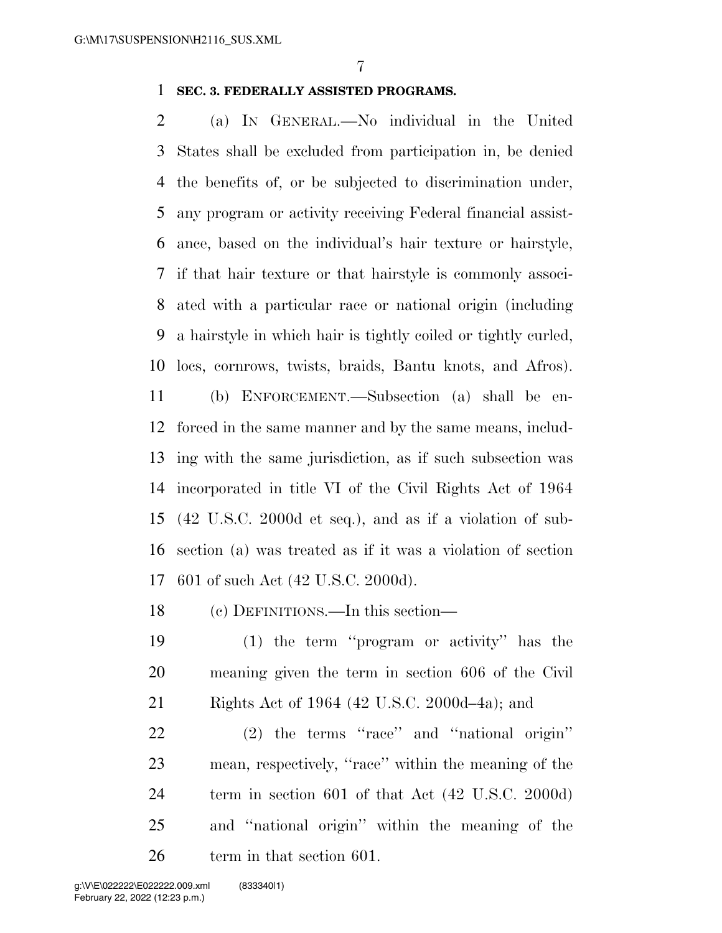### **SEC. 3. FEDERALLY ASSISTED PROGRAMS.**

 (a) IN GENERAL.—No individual in the United States shall be excluded from participation in, be denied the benefits of, or be subjected to discrimination under, any program or activity receiving Federal financial assist- ance, based on the individual's hair texture or hairstyle, if that hair texture or that hairstyle is commonly associ- ated with a particular race or national origin (including a hairstyle in which hair is tightly coiled or tightly curled, locs, cornrows, twists, braids, Bantu knots, and Afros).

 (b) ENFORCEMENT.—Subsection (a) shall be en- forced in the same manner and by the same means, includ- ing with the same jurisdiction, as if such subsection was incorporated in title VI of the Civil Rights Act of 1964 (42 U.S.C. 2000d et seq.), and as if a violation of sub- section (a) was treated as if it was a violation of section 601 of such Act (42 U.S.C. 2000d).

(c) DEFINITIONS.—In this section—

 (1) the term ''program or activity'' has the meaning given the term in section 606 of the Civil Rights Act of 1964 (42 U.S.C. 2000d–4a); and

 (2) the terms ''race'' and ''national origin'' mean, respectively, ''race'' within the meaning of the term in section 601 of that Act (42 U.S.C. 2000d) and ''national origin'' within the meaning of the term in that section 601.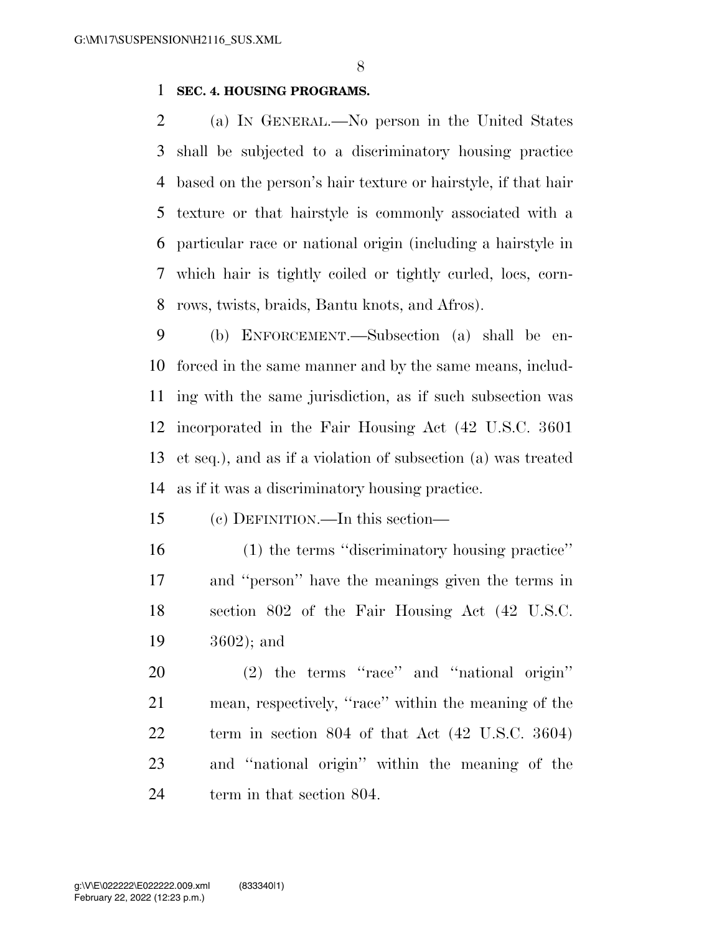### **SEC. 4. HOUSING PROGRAMS.**

 (a) IN GENERAL.—No person in the United States shall be subjected to a discriminatory housing practice based on the person's hair texture or hairstyle, if that hair texture or that hairstyle is commonly associated with a particular race or national origin (including a hairstyle in which hair is tightly coiled or tightly curled, locs, corn-rows, twists, braids, Bantu knots, and Afros).

 (b) ENFORCEMENT.—Subsection (a) shall be en- forced in the same manner and by the same means, includ- ing with the same jurisdiction, as if such subsection was incorporated in the Fair Housing Act (42 U.S.C. 3601 et seq.), and as if a violation of subsection (a) was treated as if it was a discriminatory housing practice.

(c) DEFINITION.—In this section—

 (1) the terms ''discriminatory housing practice'' and ''person'' have the meanings given the terms in section 802 of the Fair Housing Act (42 U.S.C. 3602); and

 (2) the terms ''race'' and ''national origin'' mean, respectively, ''race'' within the meaning of the term in section 804 of that Act (42 U.S.C. 3604) and ''national origin'' within the meaning of the 24 term in that section 804.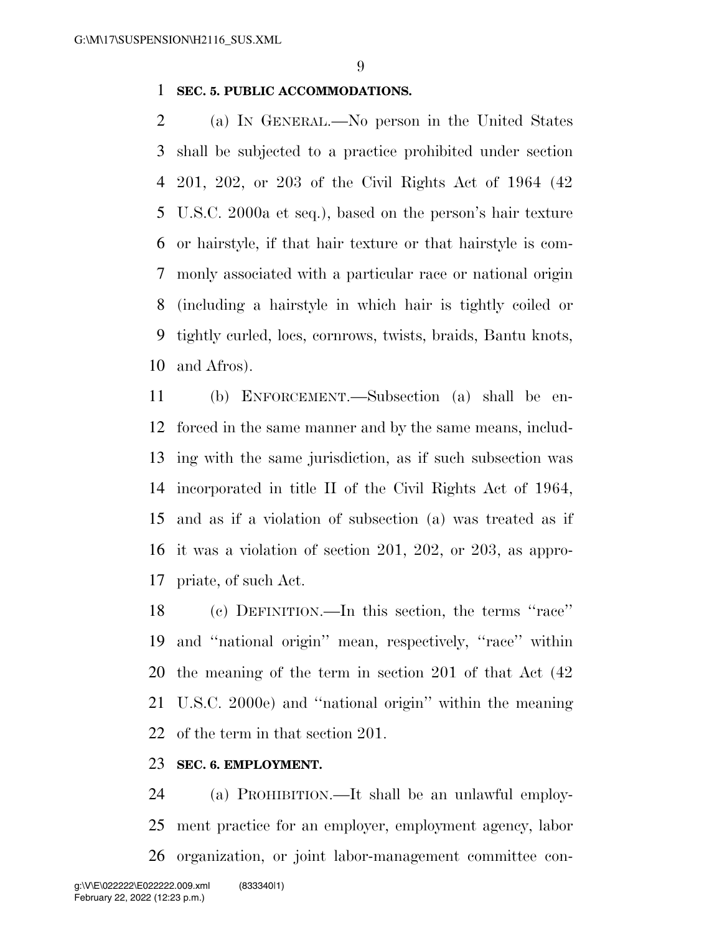### **SEC. 5. PUBLIC ACCOMMODATIONS.**

 (a) IN GENERAL.—No person in the United States shall be subjected to a practice prohibited under section 201, 202, or 203 of the Civil Rights Act of 1964 (42 U.S.C. 2000a et seq.), based on the person's hair texture or hairstyle, if that hair texture or that hairstyle is com- monly associated with a particular race or national origin (including a hairstyle in which hair is tightly coiled or tightly curled, locs, cornrows, twists, braids, Bantu knots, and Afros).

 (b) ENFORCEMENT.—Subsection (a) shall be en- forced in the same manner and by the same means, includ- ing with the same jurisdiction, as if such subsection was incorporated in title II of the Civil Rights Act of 1964, and as if a violation of subsection (a) was treated as if it was a violation of section 201, 202, or 203, as appro-priate, of such Act.

 (c) DEFINITION.—In this section, the terms ''race'' and ''national origin'' mean, respectively, ''race'' within the meaning of the term in section 201 of that Act (42 U.S.C. 2000e) and ''national origin'' within the meaning of the term in that section 201.

# **SEC. 6. EMPLOYMENT.**

 (a) PROHIBITION.—It shall be an unlawful employ- ment practice for an employer, employment agency, labor organization, or joint labor-management committee con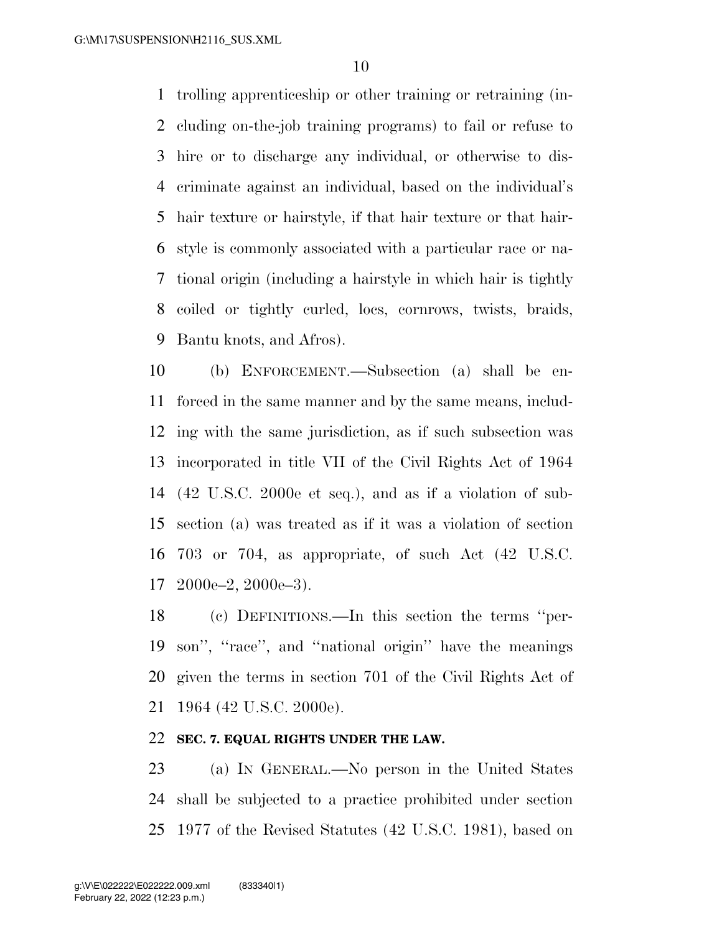trolling apprenticeship or other training or retraining (in- cluding on-the-job training programs) to fail or refuse to hire or to discharge any individual, or otherwise to dis- criminate against an individual, based on the individual's hair texture or hairstyle, if that hair texture or that hair- style is commonly associated with a particular race or na- tional origin (including a hairstyle in which hair is tightly coiled or tightly curled, locs, cornrows, twists, braids, Bantu knots, and Afros).

 (b) ENFORCEMENT.—Subsection (a) shall be en- forced in the same manner and by the same means, includ- ing with the same jurisdiction, as if such subsection was incorporated in title VII of the Civil Rights Act of 1964 (42 U.S.C. 2000e et seq.), and as if a violation of sub- section (a) was treated as if it was a violation of section 703 or 704, as appropriate, of such Act (42 U.S.C. 2000e–2, 2000e–3).

 (c) DEFINITIONS.—In this section the terms ''per- son'', ''race'', and ''national origin'' have the meanings given the terms in section 701 of the Civil Rights Act of 1964 (42 U.S.C. 2000e).

# **SEC. 7. EQUAL RIGHTS UNDER THE LAW.**

 (a) IN GENERAL.—No person in the United States shall be subjected to a practice prohibited under section 1977 of the Revised Statutes (42 U.S.C. 1981), based on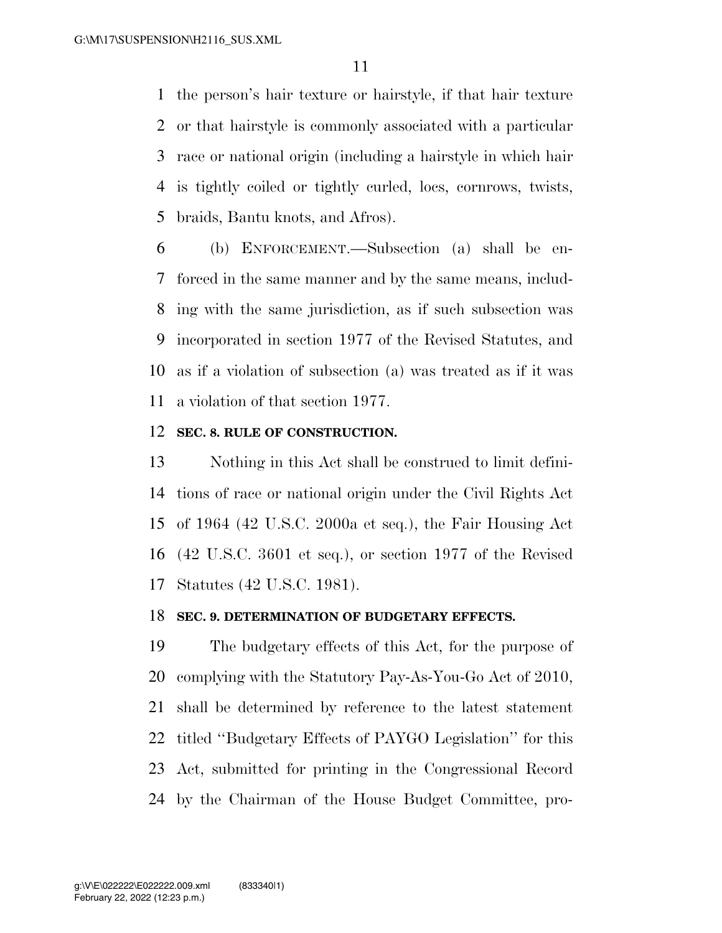the person's hair texture or hairstyle, if that hair texture or that hairstyle is commonly associated with a particular race or national origin (including a hairstyle in which hair is tightly coiled or tightly curled, locs, cornrows, twists, braids, Bantu knots, and Afros).

 (b) ENFORCEMENT.—Subsection (a) shall be en- forced in the same manner and by the same means, includ- ing with the same jurisdiction, as if such subsection was incorporated in section 1977 of the Revised Statutes, and as if a violation of subsection (a) was treated as if it was a violation of that section 1977.

#### **SEC. 8. RULE OF CONSTRUCTION.**

 Nothing in this Act shall be construed to limit defini- tions of race or national origin under the Civil Rights Act of 1964 (42 U.S.C. 2000a et seq.), the Fair Housing Act (42 U.S.C. 3601 et seq.), or section 1977 of the Revised Statutes (42 U.S.C. 1981).

#### **SEC. 9. DETERMINATION OF BUDGETARY EFFECTS.**

 The budgetary effects of this Act, for the purpose of complying with the Statutory Pay-As-You-Go Act of 2010, shall be determined by reference to the latest statement titled ''Budgetary Effects of PAYGO Legislation'' for this Act, submitted for printing in the Congressional Record by the Chairman of the House Budget Committee, pro-